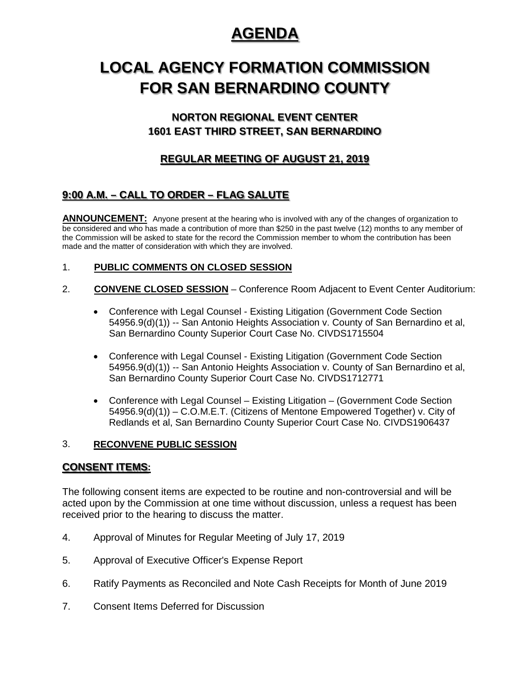## **AGENDA**

# **LOCAL AGENCY FORMATION COMMISSION FOR SAN BERNARDINO COUNTY**

## **NORTON REGIONAL EVENT CENTER 1601 EAST THIRD STREET, SAN BERNARDINO**

## **REGULAR MEETING OF AUGUST 21, 2019**

## **9:00 A.M. – CALL TO ORDER – FLAG SALUTE**

**ANNOUNCEMENT:** Anyone present at the hearing who is involved with any of the changes of organization to be considered and who has made a contribution of more than \$250 in the past twelve (12) months to any member of the Commission will be asked to state for the record the Commission member to whom the contribution has been made and the matter of consideration with which they are involved.

#### 1. **PUBLIC COMMENTS ON CLOSED SESSION**

- 2. **CONVENE CLOSED SESSION** Conference Room Adjacent to Event Center Auditorium:
	- Conference with Legal Counsel Existing Litigation (Government Code Section 54956.9(d)(1)) -- San Antonio Heights Association v. County of San Bernardino et al, San Bernardino County Superior Court Case No. CIVDS1715504
	- Conference with Legal Counsel Existing Litigation (Government Code Section 54956.9(d)(1)) -- San Antonio Heights Association v. County of San Bernardino et al, San Bernardino County Superior Court Case No. CIVDS1712771
	- Conference with Legal Counsel Existing Litigation (Government Code Section 54956.9(d)(1)) – C.O.M.E.T. (Citizens of Mentone Empowered Together) v. City of Redlands et al, San Bernardino County Superior Court Case No. CIVDS1906437

#### 3. **RECONVENE PUBLIC SESSION**

### **CONSENT ITEMS:**

The following consent items are expected to be routine and non-controversial and will be acted upon by the Commission at one time without discussion, unless a request has been received prior to the hearing to discuss the matter.

- 4. Approval of Minutes for Regular Meeting of July 17, 2019
- 5. Approval of Executive Officer's Expense Report
- 6. Ratify Payments as Reconciled and Note Cash Receipts for Month of June 2019
- 7. Consent Items Deferred for Discussion